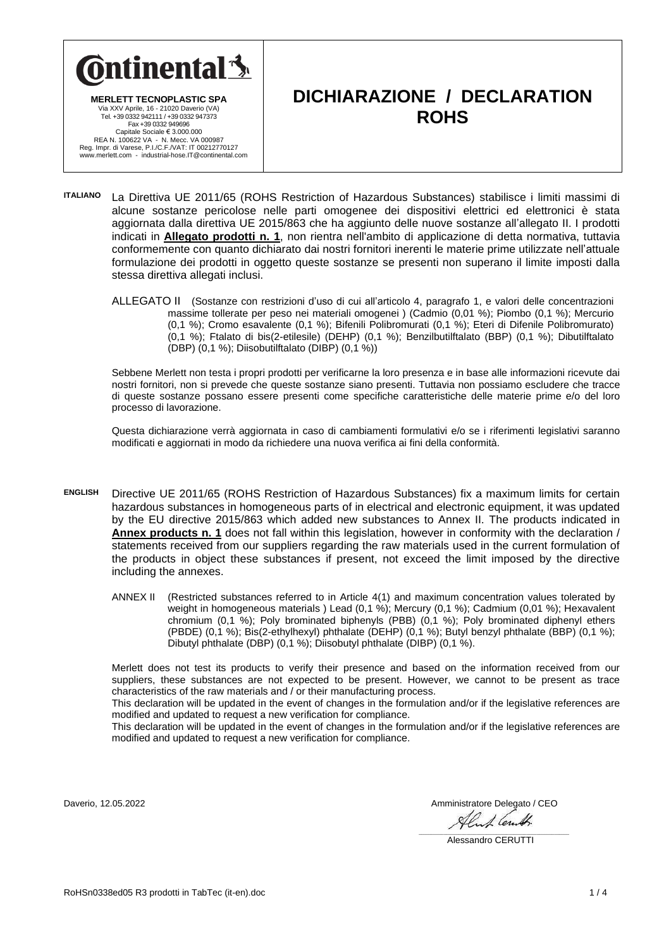

**MERLETT TECNOPLASTIC SPA** Via XXV Aprile, 16 - 21020 Daverio (VA) Tel. +39 0332 942111 / +39 0332 947373 Fax +39 0332 949696 Capitale Sociale € 3.000.000<br>REA N. 100622 VA - N. Mecc. VA 000987<br>Reg. Impr. di Varese, P.I./C.F./VAT: IT 00212770127<br>www.merlett.com - industrial-hose.IT@continental.com

### **DICHIARAZIONE / DECLARATION ROHS**

- **ITALIANO** La Direttiva UE 2011/65 (ROHS Restriction of Hazardous Substances) stabilisce i limiti massimi di alcune sostanze pericolose nelle parti omogenee dei dispositivi elettrici ed elettronici è stata aggiornata dalla direttiva UE 2015/863 che ha aggiunto delle nuove sostanze all'allegato II. I prodotti indicati in **Allegato prodotti n. 1**, non rientra nell'ambito di applicazione di detta normativa, tuttavia conformemente con quanto dichiarato dai nostri fornitori inerenti le materie prime utilizzate nell'attuale formulazione dei prodotti in oggetto queste sostanze se presenti non superano il limite imposti dalla stessa direttiva allegati inclusi.
	- ALLEGATO II (Sostanze con restrizioni d'uso di cui all'articolo 4, paragrafo 1, e valori delle concentrazioni massime tollerate per peso nei materiali omogenei ) (Cadmio (0,01 %); Piombo (0,1 %); Mercurio (0,1 %); Cromo esavalente (0,1 %); Bifenili Polibromurati (0,1 %); Eteri di Difenile Polibromurato) (0,1 %); Ftalato di bis(2-etilesile) (DEHP) (0,1 %); Benzilbutilftalato (BBP) (0,1 %); Dibutilftalato (DBP) (0,1 %); Diisobutilftalato (DIBP) (0,1 %))

Sebbene Merlett non testa i propri prodotti per verificarne la loro presenza e in base alle informazioni ricevute dai nostri fornitori, non si prevede che queste sostanze siano presenti. Tuttavia non possiamo escludere che tracce di queste sostanze possano essere presenti come specifiche caratteristiche delle materie prime e/o del loro processo di lavorazione.

Questa dichiarazione verrà aggiornata in caso di cambiamenti formulativi e/o se i riferimenti legislativi saranno modificati e aggiornati in modo da richiedere una nuova verifica ai fini della conformità.

- **ENGLISH** Directive UE 2011/65 (ROHS Restriction of Hazardous Substances) fix a maximum limits for certain hazardous substances in homogeneous parts of in electrical and electronic equipment, it was updated by the EU directive 2015/863 which added new substances to Annex II. The products indicated in **Annex products n. 1** does not fall within this legislation, however in conformity with the declaration / statements received from our suppliers regarding the raw materials used in the current formulation of the products in object these substances if present, not exceed the limit imposed by the directive including the annexes.
	- ANNEX II (Restricted substances referred to in Article 4(1) and maximum concentration values tolerated by weight in homogeneous materials ) Lead (0,1 %); Mercury (0,1 %); Cadmium (0,01 %); Hexavalent chromium (0,1 %); Poly brominated biphenyls (PBB) (0,1 %); Poly brominated diphenyl ethers (PBDE) (0,1 %); Bis(2-ethylhexyl) phthalate (DEHP) (0,1 %); Butyl benzyl phthalate (BBP) (0,1 %); Dibutyl phthalate (DBP) (0,1 %); Diisobutyl phthalate (DIBP) (0,1 %).

Merlett does not test its products to verify their presence and based on the information received from our suppliers, these substances are not expected to be present. However, we cannot to be present as trace characteristics of the raw materials and / or their manufacturing process.

This declaration will be updated in the event of changes in the formulation and/or if the legislative references are modified and updated to request a new verification for compliance.

This declaration will be updated in the event of changes in the formulation and/or if the legislative references are modified and updated to request a new verification for compliance.

Daverio, 12.05.2022 Amministratore Delegato / CEO

Alant Cent.  $\mathcal{L}_\mathcal{L} = \mathcal{L}_\mathcal{L} = \mathcal{L}_\mathcal{L} = \mathcal{L}_\mathcal{L} = \mathcal{L}_\mathcal{L} = \mathcal{L}_\mathcal{L} = \mathcal{L}_\mathcal{L} = \mathcal{L}_\mathcal{L} = \mathcal{L}_\mathcal{L} = \mathcal{L}_\mathcal{L} = \mathcal{L}_\mathcal{L} = \mathcal{L}_\mathcal{L} = \mathcal{L}_\mathcal{L} = \mathcal{L}_\mathcal{L} = \mathcal{L}_\mathcal{L} = \mathcal{L}_\mathcal{L} = \mathcal{L}_\mathcal{L}$ 

Alessandro CERUTTI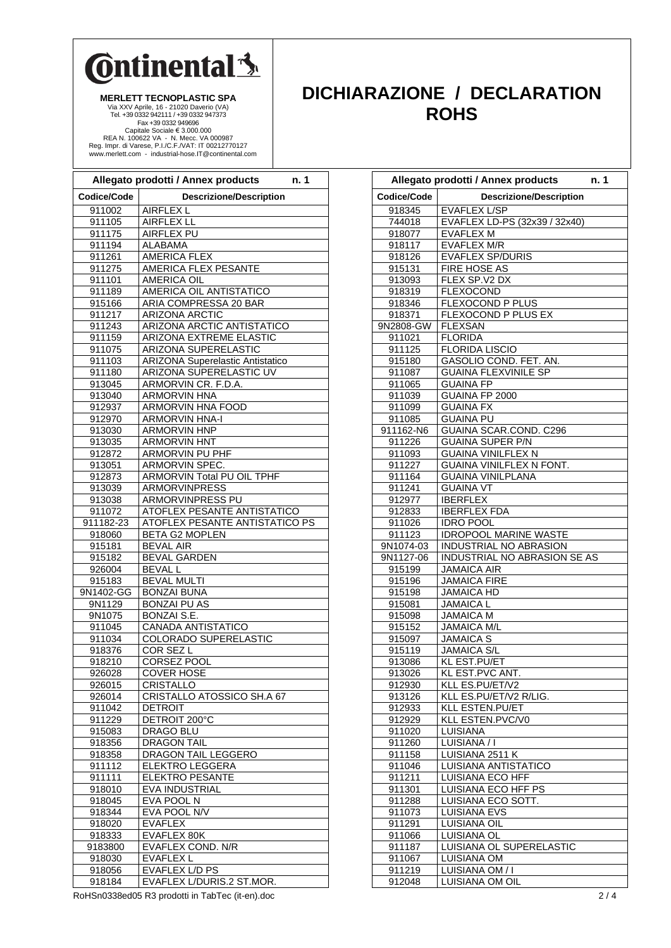# **Ontinental** \$

**MERLETT TECNOPLASTIC SPA** Via XXV Aprile, 16 - 21020 Daverio (VA) Tel. +39 0332 942111 / +39 0332 947373 Fax +39 0332 949696 Capitale Sociale € 3.000.000 REA N. 100622 VA - N. Mecc. VA 000987 Reg. Impr. di Varese, P.I./C.F./VAT: IT 00212770127 www.merlett.com - industrial-hose.IT@continental.com

#### **Allegato prodotti / Annex products n. 1 Codice/Code Descrizione/Description** 911002 | AIRFLEX L 911105 | AIRFLEX LL 911175 | AIRFLEX PU 911194 | ALABAMA 911261 AMERICA FLEX 911275 | AMERICA FLEX PESANTE 911101 | AMERICA OIL 911189 AMERICA OIL ANTISTATICO 915166 ARIA COMPRESSA 20 BAR 911217 ARIZONA ARCTIC<br>911243 ARIZONA ARCTIC ARIZONA ARCTIC ANTISTATICO 911159 | ARIZONA EXTREME ELASTIC 911075 | ARIZONA SUPERELASTIC 911103 ARIZONA Superelastic Antistatico 911180 | ARIZONA SUPERELASTIC UV 913045 | ARMORVIN CR. F.D.A 913040 | ARMORVIN HNA 912937 | ARMORVIN HNA FOOD 912970 ARMORVIN HNA-I 913030 ARMORVIN HNP 913035 | ARMORVIN HNT 912872 ARMORVIN PU PHF 913051 | ARMORVIN SPEC 912873 | ARMORVIN Total PU OIL TPHF 913039 ARMORVINPRESS 913038 ARMORVINPRESS PU 911072 | ATOFLEX PESANTE ANTISTATICO 911182-23 ATOFLEX PESANTE ANTISTATICO PS 918060 BETA G2 MOPLEN 915181 BEVAL AIR 915182 | BEVAL GARDEN 926004 BEVAL L 915183 | BEVAL MULTI 9N1402-GG BONZAI BUNA 9N1129 BONZAI PU AS 9N1075 BONZAI S.E. 911045 CANADA ANTISTATICO 911034 COLORADO SUPERELASTIC 918376 COR SEZ L<br>918210 CORSEZ PO CORSEZ POOL 926028 COVER HOSE 926015 CRISTALLO<br>926014 CRISTALLO 926014 CRISTALLO ATOSSICO SH.A 67<br>911042 DETROIT **DETROIT** 911229 DETROIT 200°C 915083 DRAGO BLU 918356 DRAGON TAIL 918358 DRAGON TAIL LEGGERO 911112 | ELEKTRO LEGGERA 911111 | ELEKTRO PESANTE 918010 | EVA INDUSTRIAL 918045 EVA POOL N 918344 EVA POOL N/V 918020 EVAFLEX<br>918333 EVAFLEX EVAFLEX 80K 9183800 EVAFLEX COND. N/R 918030 EVAFLEX L 918056 EVAFLEX L/D PS 918184 | EVAFLEX L/DURIS.2 ST.MOR.

### **DICHIARAZIONE / DECLARATION ROHS**

|                        | Allegato prodotti / Annex products<br>n.1                            |
|------------------------|----------------------------------------------------------------------|
| Codice/Code            | <b>Descrizione/Description</b>                                       |
| 918345                 | <b>EVAFLEX L/SP</b>                                                  |
| 744018                 | EVAFLEX LD-PS (32x39 / 32x40)                                        |
| 918077                 | <b>EVAFLEX M</b>                                                     |
| 918117                 | <b>EVAFLEX M/R</b>                                                   |
| 918126                 | <b>EVAFLEX SP/DURIS</b>                                              |
| 915131                 | <b>FIRE HOSE AS</b>                                                  |
| 913093                 | FLEX SP.V2 DX                                                        |
| 918319                 | <b>FLEXOCOND</b>                                                     |
| 918346<br>918371       | <b>FLEXOCOND P PLUS</b><br><b>FLEXOCOND P PLUS EX</b>                |
| 9N2808-GW              | <b>FLEXSAN</b>                                                       |
| 911021                 | <b>FLORIDA</b>                                                       |
| 911125                 | <b>FLORIDA LISCIO</b>                                                |
| 915180                 | GASOLIO COND. FET. AN.                                               |
| 911087                 | <b>GUAINA FLEXVINILE SP</b>                                          |
| 911065                 | <b>GUAINA FP</b>                                                     |
| 911039                 | GUAINA FP 2000                                                       |
| 911099                 | <b>GUAINA FX</b>                                                     |
| 911085                 | <b>GUAINA PU</b>                                                     |
| 911162-N6              | <b>GUAINA SCAR.COND. C296</b>                                        |
| 911226                 | <b>GUAINA SUPER P/N</b>                                              |
| 911093                 | <b>GUAINA VINILFLEX N</b>                                            |
| 911227                 | <b>GUAINA VINILFLEX N FONT.</b>                                      |
| 911164                 | <b>GUAINA VINILPLANA</b>                                             |
| 911241                 | <b>GUAINA VT</b>                                                     |
| 912977                 | <b>IBERFLEX</b>                                                      |
| 912833                 | <b>IBERFLEX FDA</b>                                                  |
| 911026                 | <b>IDRO POOL</b>                                                     |
| 911123                 | <b>IDROPOOL MARINE WASTE</b>                                         |
| 9N1074-03<br>9N1127-06 | <b>INDUSTRIAL NO ABRASION</b><br><b>INDUSTRIAL NO ABRASION SE AS</b> |
|                        | <b>JAMAICA AIR</b>                                                   |
| 915199<br>915196       | <b>JAMAICA FIRE</b>                                                  |
| 915198                 | <b>JAMAICA HD</b>                                                    |
| 915081                 | <b>JAMAICA L</b>                                                     |
| 915098                 | <b>JAMAICA M</b>                                                     |
| 915152                 | <b>JAMAICA M/L</b>                                                   |
| 915097                 | <b>JAMAICA S</b>                                                     |
| 915119                 | <b>JAMAICA S/L</b>                                                   |
| 913086                 | <b>KL EST.PU/ET</b>                                                  |
| 913026                 | KL EST.PVC ANT.                                                      |
| 912930                 | KLL ES.PU/ET/V2                                                      |
| 913126                 | KLL ES.PU/ET/V2 R/LIG.                                               |
| 912933                 | KLL ESTEN.PU/ET                                                      |
| 912929                 | KLL ESTEN.PVC/V0                                                     |
| 911020                 | LUISIANA                                                             |
| 911260                 | LUISIANA / I                                                         |
| 911158                 | LUISIANA 2511 K                                                      |
| 911046<br>911211       | LUISIANA ANTISTATICO<br>LUISIANA ECO HFF                             |
| 911301                 | LUISIANA ECO HFF PS                                                  |
| 911288                 | LUISIANA ECO SOTT.                                                   |
| 911073                 | <b>LUISIANA EVS</b>                                                  |
| 911291                 | LUISIANA OIL                                                         |
| 911066                 | LUISIANA OL                                                          |
| 911187                 | LUISIANA OL SUPERELASTIC                                             |
| 911067                 | LUISIANA OM                                                          |
| 911219                 | LUISIANA OM / I                                                      |
| 912048                 | <b>LUISIANA OM OIL</b>                                               |

RoHSn0338ed05 R3 prodotti in TabTec (it-en).doc 2 / 4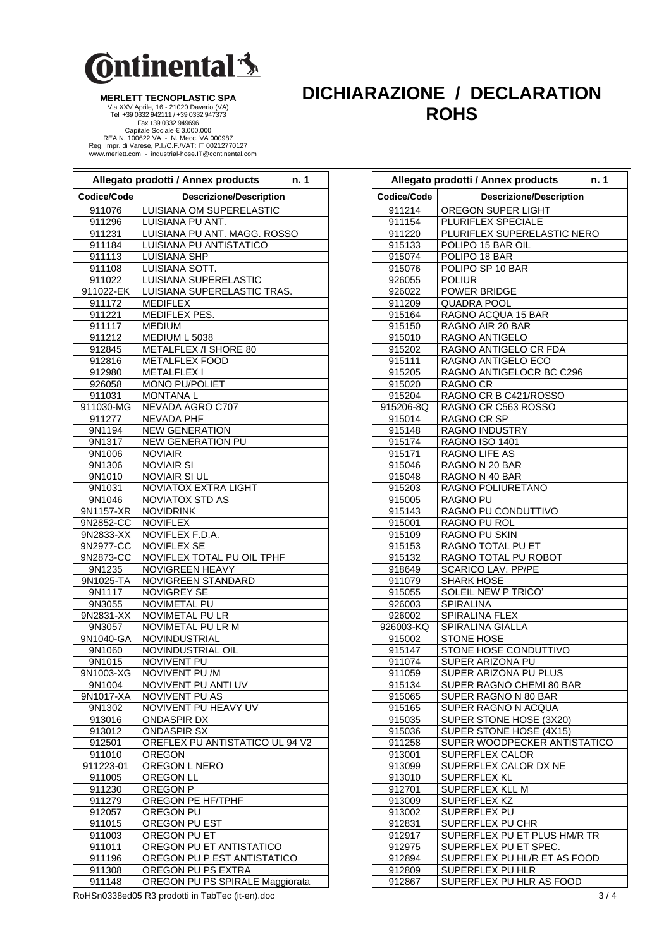### **C**ntinental 3

MERLETT TECNOPLASTIC SPA<br>
Via XXV Aprile, 16 - 21020 Daverio (VA)<br>
Tel. +39 0332 944211 / +39 0332 94373<br>
Fax +39 0332 944696<br>
Capitale Sociale € 3.000.000<br>
REA N. 100622 VA - N. Mecc. VA 000987<br>
Reg. Impr. di Varese, P.I.

#### **DICHIARAZIONE / DECLARATION ROHS**

|                        | Allegato prodotti / Annex products<br>n. 1       |
|------------------------|--------------------------------------------------|
| Codice/Code            | <b>Descrizione/Description</b>                   |
| 911076                 | LUISIANA OM SUPERELASTIC                         |
| 911296                 | LUISIANA PU ANT.                                 |
| 911231                 | LUISIANA PU ANT. MAGG. ROSSO                     |
| 911184                 | LUISIANA PU ANTISTATICO                          |
| 911113                 | <b>LUISIANA SHP</b>                              |
| 911108                 | LUISIANA SOTT.                                   |
| 911022                 | LUISIANA SUPERELASTIC                            |
| 911022-EK              | LUISIANA SUPERELASTIC TRAS.                      |
| 911172                 | <b>MEDIFLEX</b>                                  |
| 911221                 | MEDIFLEX PES.                                    |
| 911117                 | <b>MEDIUM</b>                                    |
| 911212                 | MEDIUM L 5038                                    |
| 912845                 | <b>METALFLEX /I SHORE 80</b>                     |
| 912816                 | METALFLEX FOOD                                   |
| 912980                 | METALFLEX I                                      |
| 926058                 | MONO PU/POLIET                                   |
| 911031                 | <b>MONTANAL</b>                                  |
| 911030-MG              | NEVADA AGRO C707                                 |
| 911277                 | <b>NEVADA PHF</b>                                |
| 9N1194                 | <b>NEW GENERATION</b>                            |
| 9N1317                 | <b>NEW GENERATION PU</b>                         |
| 9N1006                 | <b>NOVIAIR</b>                                   |
| 9N1306                 | <b>NOVIAIR SI</b>                                |
| 9N1010                 | <b>NOVIAIR SI UL</b>                             |
| 9N1031                 | <b>NOVIATOX EXTRA LIGHT</b>                      |
| 9N1046                 | <b>NOVIATOX STD AS</b>                           |
| 9N1157-XR              | <b>NOVIDRINK</b>                                 |
| 9N2852-CC              | <b>NOVIFLEX</b>                                  |
| 9N2833-XX              | NOVIFLEX F.D.A.                                  |
| 9N2977-CC<br>9N2873-CC | <b>NOVIFLEX SE</b><br>NOVIFLEX TOTAL PU OIL TPHF |
| 9N1235                 | <b>NOVIGREEN HEAVY</b>                           |
| 9N1025-TA              | NOVIGREEN STANDARD                               |
| 9N1117                 | <b>NOVIGREY SE</b>                               |
| 9N3055                 | NOVIMETAL PU                                     |
| 9N2831-XX              | <b>NOVIMETAL PU LR</b>                           |
| 9N3057                 | <b>NOVIMETAL PU LR M</b>                         |
| 9N1040-GA              | NOVINDUSTRIAL                                    |
| 9N1060                 | NOVINDUSTRIAL OIL                                |
| 9N1015                 | <b>NOVIVENT PU</b>                               |
| 9N1003-XG              | <b>NOVIVENT PU/M</b>                             |
| 9N1004                 | NOVIVENT PU ANTI UV                              |
| 9N1017-XA              | <b>NOVIVENT PU AS</b>                            |
| 9N1302                 | NOVIVENT PU HEAVY UV                             |
| 913016                 | <b>ONDASPIR DX</b>                               |
| 913012                 | <b>ONDASPIR SX</b>                               |
| 912501                 | OREFLEX PU ANTISTATICO UL 94 V2                  |
| 911010                 | <b>OREGON</b>                                    |
| 911223-01              | OREGON L NERO                                    |
| 911005                 | OREGON LL                                        |
| 911230                 | <b>OREGON P</b>                                  |
| 911279                 | OREGON PE HF/TPHF                                |
| 912057                 | <b>OREGON PU</b>                                 |
| 911015                 | OREGON PU EST                                    |
| 911003                 | OREGON PU ET                                     |
| 911011                 | OREGON PU ET ANTISTATICO                         |
| 911196                 | OREGON PU P EST ANTISTATICO                      |
| 911308                 | OREGON PU PS EXTRA                               |
| 911148                 | OREGON PU PS SPIRALE Maggiorata                  |

|                  | Allegato prodotti / Annex products<br>n. 1            |
|------------------|-------------------------------------------------------|
| Codice/Code      | <b>Descrizione/Description</b>                        |
| 911214           | <b>OREGON SUPER LIGHT</b>                             |
| 911154           | <b>PLURIFLEX SPECIALE</b>                             |
| 911220           | PLURIFLEX SUPERELASTIC NERO                           |
| 915133           | POLIPO 15 BAR OIL                                     |
| 915074           | POLIPO 18 BAR                                         |
| 915076           | POLIPO SP 10 BAR                                      |
| 926055           | <b>POLIUR</b>                                         |
| 926022<br>911209 | POWER BRIDGE<br><b>QUADRA POOL</b>                    |
|                  | RAGNO ACQUA 15 BAR                                    |
| 915164<br>915150 | RAGNO AIR 20 BAR                                      |
| 915010           | RAGNO ANTIGELO                                        |
| 915202           | RAGNO ANTIGELO CR FDA                                 |
| 915111           | RAGNO ANTIGELO ECO                                    |
| 915205           | RAGNO ANTIGELOCR BC C296                              |
| 915020           | <b>RAGNO CR</b>                                       |
| 915204           | RAGNO CR B C421/ROSSO                                 |
| 915206-8Q        | RAGNO CR C563 ROSSO                                   |
| 915014           | <b>RAGNO CR SP</b>                                    |
| 915148           | RAGNO INDUSTRY                                        |
| 915174           | RAGNO ISO 1401                                        |
| 915171           | <b>RAGNO LIFE AS</b>                                  |
| 915046           | RAGNO N 20 BAR                                        |
| 915048           | RAGNO N 40 BAR                                        |
| 915203           | RAGNO POLIURETANO                                     |
| 915005           | <b>RAGNO PU</b>                                       |
| 915143<br>915001 | RAGNO PU CONDUTTIVO<br>RAGNO PU ROL                   |
| 915109           | <b>RAGNO PU SKIN</b>                                  |
| 915153           | <b>RAGNO TOTAL PU ET</b>                              |
| 915132           | RAGNO TOTAL PU ROBOT                                  |
| 918649           | <b>SCARICO LAV. PP/PE</b>                             |
| 911079           | <b>SHARK HOSE</b>                                     |
| 915055           | SOLEIL NEW P TRICO'                                   |
| 926003           | SPIRALINA                                             |
| 926002           | <b>SPIRALINA FLEX</b>                                 |
| 926003-KQ        | SPIRALINA GIALLA                                      |
| 915002           | STONE HOSE                                            |
| 915147           | STONE HOSE CONDUTTIVO                                 |
| 911074           | SUPER ARIZONA PU                                      |
| 911059           | SUPER ARIZONA PU PLUS                                 |
| 915134<br>915065 | SUPER RAGNO CHEMI 80 BAR<br>SUPER RAGNO N 80 BAR      |
| 915165           | SUPER RAGNO N ACQUA                                   |
| 915035           | SUPER STONE HOSE (3X20)                               |
| 915036           | SUPER STONE HOSE (4X15)                               |
| 911258           | SUPER WOODPECKER ANTISTATICO                          |
| 913001           | SUPERFLEX CALOR                                       |
| 913099           | SUPERFLEX CALOR DX NE                                 |
| 913010           | SUPERFLEX KL                                          |
| 912701           | SUPERFLEX KLL M                                       |
| 913009           | SUPERFLEX KZ                                          |
| 913002           | SUPERFLEX PU                                          |
| 912831           | SUPERFLEX PU CHR                                      |
| 912917           | SUPERFLEX PU ET PLUS HM/R TR                          |
| 912975           | SUPERFLEX PU ET SPEC.<br>SUPERFLEX PU HL/R ET AS FOOD |
| 912894<br>912809 | SUPERFLEX PU HLR                                      |
| 912867           | SUPERFLEX PU HLR AS FOOD                              |
|                  |                                                       |

RoHSn0338ed05 R3 prodotti in TabTec (it-en).doc 3/4